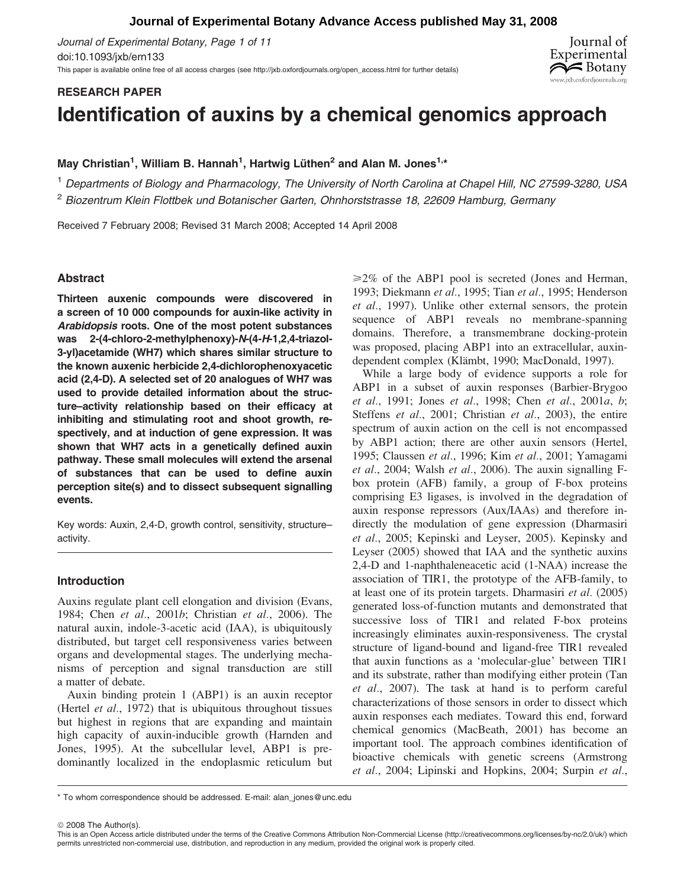# **Journal of Experimental Botany Advance Access published May 31, 2008**

Journal of Experimental Botany, Page 1 of 11 doi:10.1093/jxb/ern133 This paper is available online free of all access charges (see http://jxb.oxfordjournals.org/open\_access.html for further details)



# RESEARCH PAPER

# Identification of auxins by a chemical genomics approach

May Christian<sup>1</sup>, William B. Hannah<sup>1</sup>, Hartwig Lüthen<sup>2</sup> and Alan M. Jones<sup>1,</sup>\*

<sup>1</sup> Departments of Biology and Pharmacology, The University of North Carolina at Chapel Hill, NC 27599-3280, USA

<sup>2</sup> Biozentrum Klein Flottbek und Botanischer Garten, Ohnhorststrasse 18, 22609 Hamburg, Germany

Received 7 February 2008; Revised 31 March 2008; Accepted 14 April 2008

# Abstract

Thirteen auxenic compounds were discovered in a screen of 10 000 compounds for auxin-like activity in Arabidopsis roots. One of the most potent substances was 2-(4-chloro-2-methylphenoxy)-N-(4-H-1,2,4-triazol-3-yl)acetamide (WH7) which shares similar structure to the known auxenic herbicide 2,4-dichlorophenoxyacetic acid (2,4-D). A selected set of 20 analogues of WH7 was used to provide detailed information about the structure–activity relationship based on their efficacy at inhibiting and stimulating root and shoot growth, respectively, and at induction of gene expression. It was shown that WH7 acts in a genetically defined auxin pathway. These small molecules will extend the arsenal of substances that can be used to define auxin perception site(s) and to dissect subsequent signalling events.

Key words: Auxin, 2,4-D, growth control, sensitivity, structure– activity.

# Introduction

Auxins regulate plant cell elongation and division (Evans, 1984; Chen et al., 2001b; Christian et al., 2006). The natural auxin, indole-3-acetic acid (IAA), is ubiquitously distributed, but target cell responsiveness varies between organs and developmental stages. The underlying mechanisms of perception and signal transduction are still a matter of debate.

Auxin binding protein 1 (ABP1) is an auxin receptor (Hertel *et al.*, 1972) that is ubiquitous throughout tissues but highest in regions that are expanding and maintain high capacity of auxin-inducible growth (Harnden and Jones, 1995). At the subcellular level, ABP1 is predominantly localized in the endoplasmic reticulum but  $\geq 2\%$  of the ABP1 pool is secreted (Jones and Herman, 1993; Diekmann et al., 1995; Tian et al., 1995; Henderson et al., 1997). Unlike other external sensors, the protein sequence of ABP1 reveals no membrane-spanning domains. Therefore, a transmembrane docking-protein was proposed, placing ABP1 into an extracellular, auxindependent complex (Klämbt, 1990; MacDonald, 1997).

While a large body of evidence supports a role for ABP1 in a subset of auxin responses (Barbier-Brygoo et al., 1991; Jones et al., 1998; Chen et al., 2001a, b; Steffens et al., 2001; Christian et al., 2003), the entire spectrum of auxin action on the cell is not encompassed by ABP1 action; there are other auxin sensors (Hertel, 1995; Claussen et al., 1996; Kim et al., 2001; Yamagami et al., 2004; Walsh et al., 2006). The auxin signalling  $F$ box protein (AFB) family, a group of F-box proteins comprising E3 ligases, is involved in the degradation of auxin response repressors (Aux/IAAs) and therefore indirectly the modulation of gene expression (Dharmasiri et al., 2005; Kepinski and Leyser, 2005). Kepinsky and Leyser (2005) showed that IAA and the synthetic auxins 2,4-D and 1-naphthaleneacetic acid (1-NAA) increase the association of TIR1, the prototype of the AFB-family, to at least one of its protein targets. Dharmasiri  $et$   $al.$  (2005) generated loss-of-function mutants and demonstrated that successive loss of TIR1 and related F-box proteins increasingly eliminates auxin-responsiveness. The crystal structure of ligand-bound and ligand-free TIR1 revealed that auxin functions as a 'molecular-glue' between TIR1 and its substrate, rather than modifying either protein (Tan et al., 2007). The task at hand is to perform careful characterizations of those sensors in order to dissect which auxin responses each mediates. Toward this end, forward chemical genomics (MacBeath, 2001) has become an important tool. The approach combines identification of bioactive chemicals with genetic screens (Armstrong et al., 2004; Lipinski and Hopkins, 2004; Surpin et al.,

 $@$  2008 The Author(s).

<sup>\*</sup> To whom correspondence should be addressed. E-mail: alan\_jones@unc.edu

This is an Open Access article distributed under the terms of the Creative Commons Attribution Non-Commercial License (http://creativecommons.org/licenses/by-nc/2.0/uk/) which permits unrestricted non-commercial use, distribution, and reproduction in any medium, provided the original work is properly cited.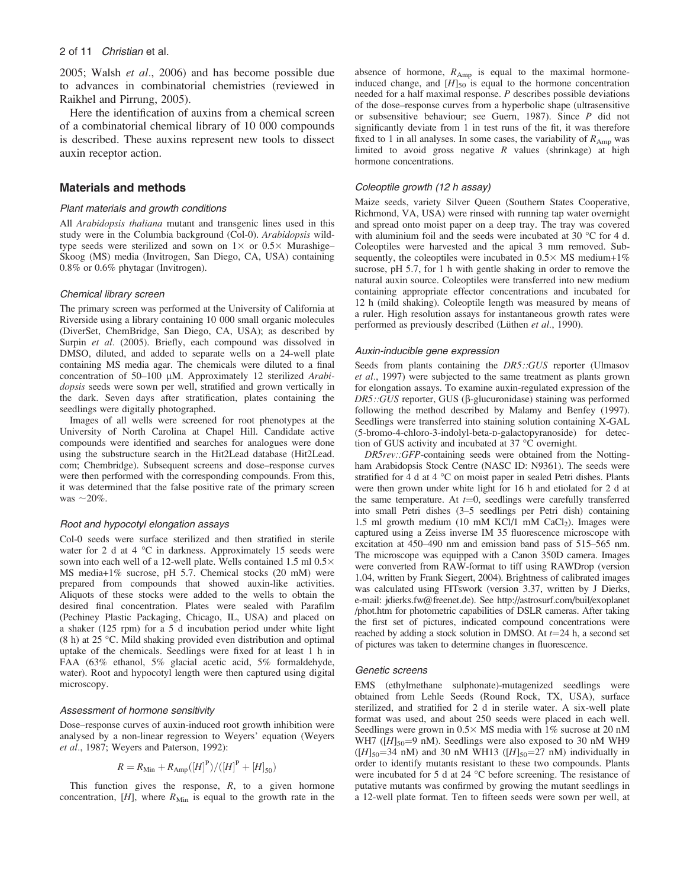2005; Walsh et al., 2006) and has become possible due to advances in combinatorial chemistries (reviewed in Raikhel and Pirrung, 2005).

Here the identification of auxins from a chemical screen of a combinatorial chemical library of 10 000 compounds is described. These auxins represent new tools to dissect auxin receptor action.

# Materials and methods

## Plant materials and growth conditions

All Arabidopsis thaliana mutant and transgenic lines used in this study were in the Columbia background (Col-0). Arabidopsis wildtype seeds were sterilized and sown on  $1\times$  or  $0.5\times$  Murashige– Skoog (MS) media (Invitrogen, San Diego, CA, USA) containing 0.8% or 0.6% phytagar (Invitrogen).

#### Chemical library screen

The primary screen was performed at the University of California at Riverside using a library containing 10 000 small organic molecules (DiverSet, ChemBridge, San Diego, CA, USA); as described by Surpin et al. (2005). Briefly, each compound was dissolved in DMSO, diluted, and added to separate wells on a 24-well plate containing MS media agar. The chemicals were diluted to a final concentration of  $50-100$  µM. Approximately 12 sterilized Arabidopsis seeds were sown per well, stratified and grown vertically in the dark. Seven days after stratification, plates containing the seedlings were digitally photographed.

Images of all wells were screened for root phenotypes at the University of North Carolina at Chapel Hill. Candidate active compounds were identified and searches for analogues were done using the substructure search in the Hit2Lead database (Hit2Lead. com; Chembridge). Subsequent screens and dose–response curves were then performed with the corresponding compounds. From this, it was determined that the false positive rate of the primary screen was  $\sim$ 20%.

#### Root and hypocotyl elongation assays

Col-0 seeds were surface sterilized and then stratified in sterile water for 2 d at 4  $^{\circ}$ C in darkness. Approximately 15 seeds were sown into each well of a 12-well plate. Wells contained 1.5 ml  $0.5\times$ MS media+1% sucrose, pH 5.7. Chemical stocks (20 mM) were prepared from compounds that showed auxin-like activities. Aliquots of these stocks were added to the wells to obtain the desired final concentration. Plates were sealed with Parafilm (Pechiney Plastic Packaging, Chicago, IL, USA) and placed on a shaker (125 rpm) for a 5 d incubation period under white light  $(8 h)$  at 25 °C. Mild shaking provided even distribution and optimal uptake of the chemicals. Seedlings were fixed for at least 1 h in FAA (63% ethanol, 5% glacial acetic acid, 5% formaldehyde, water). Root and hypocotyl length were then captured using digital microscopy.

#### Assessment of hormone sensitivity

Dose–response curves of auxin-induced root growth inhibition were analysed by a non-linear regression to Weyers' equation (Weyers et al., 1987; Weyers and Paterson, 1992):

$$
R = R_{\text{Min}} + R_{\text{Amp}}([H]^P) / ([H]^P + [H]_{50})
$$

This function gives the response,  $R$ , to a given hormone concentration,  $[H]$ , where  $R_{\text{Min}}$  is equal to the growth rate in the absence of hormone,  $R_{Amp}$  is equal to the maximal hormoneinduced change, and  $[H]_{50}$  is equal to the hormone concentration needed for a half maximal response. P describes possible deviations of the dose–response curves from a hyperbolic shape (ultrasensitive or subsensitive behaviour; see Guern, 1987). Since P did not significantly deviate from 1 in test runs of the fit, it was therefore fixed to 1 in all analyses. In some cases, the variability of  $R_{Amp}$  was limited to avoid gross negative  $R$  values (shrinkage) at high hormone concentrations.

#### Coleoptile growth (12 h assay)

Maize seeds, variety Silver Queen (Southern States Cooperative, Richmond, VA, USA) were rinsed with running tap water overnight and spread onto moist paper on a deep tray. The tray was covered with aluminium foil and the seeds were incubated at 30  $^{\circ}$ C for 4 d. Coleoptiles were harvested and the apical 3 mm removed. Subsequently, the coleoptiles were incubated in  $0.5 \times MS$  medium+1% sucrose, pH 5.7, for 1 h with gentle shaking in order to remove the natural auxin source. Coleoptiles were transferred into new medium containing appropriate effector concentrations and incubated for 12 h (mild shaking). Coleoptile length was measured by means of a ruler. High resolution assays for instantaneous growth rates were performed as previously described (Lüthen et al., 1990).

#### Auxin-inducible gene expression

Seeds from plants containing the DR5::GUS reporter (Ulmasov et al., 1997) were subjected to the same treatment as plants grown for elongation assays. To examine auxin-regulated expression of the  $DR5::GUS$  reporter, GUS ( $\beta$ -glucuronidase) staining was performed following the method described by Malamy and Benfey (1997). Seedlings were transferred into staining solution containing X-GAL (5-bromo-4-chloro-3-indolyl-beta-D-galactopyranoside) for detection of GUS activity and incubated at  $37^{\circ}$ C overnight.

DR5rev::GFP-containing seeds were obtained from the Nottingham Arabidopsis Stock Centre (NASC ID: N9361). The seeds were stratified for 4 d at 4  $^{\circ}$ C on moist paper in sealed Petri dishes. Plants were then grown under white light for 16 h and etiolated for 2 d at the same temperature. At  $t=0$ , seedlings were carefully transferred into small Petri dishes (3–5 seedlings per Petri dish) containing 1.5 ml growth medium (10 mM KCl/1 mM CaCl<sub>2</sub>). Images were captured using a Zeiss inverse IM 35 fluorescence microscope with excitation at 450–490 nm and emission band pass of 515–565 nm. The microscope was equipped with a Canon 350D camera. Images were converted from RAW-format to tiff using RAWDrop (version 1.04, written by Frank Siegert, 2004). Brightness of calibrated images was calculated using FITswork (version 3.37, written by J Dierks, e-mail: jdierks.fw@freenet.de). See [http://astrosurf.com/buil/exoplanet](http://astrosurf.com/buil/exoplanet/phot.htm) [/phot.htm](http://astrosurf.com/buil/exoplanet/phot.htm) for photometric capabilities of DSLR cameras. After taking the first set of pictures, indicated compound concentrations were reached by adding a stock solution in DMSO. At  $t=24$  h, a second set of pictures was taken to determine changes in fluorescence.

#### Genetic screens

EMS (ethylmethane sulphonate)-mutagenized seedlings were obtained from Lehle Seeds (Round Rock, TX, USA), surface sterilized, and stratified for 2 d in sterile water. A six-well plate format was used, and about 250 seeds were placed in each well. Seedlings were grown in  $0.5 \times MS$  media with 1% sucrose at 20 nM WH7 ( $[H]_{50}$ =9 nM). Seedlings were also exposed to 30 nM WH9 ( $[H]_{50}$ =34 nM) and 30 nM WH13 ( $[H]_{50}$ =27 nM) individually in order to identify mutants resistant to these two compounds. Plants were incubated for 5 d at 24  $^{\circ}$ C before screening. The resistance of putative mutants was confirmed by growing the mutant seedlings in a 12-well plate format. Ten to fifteen seeds were sown per well, at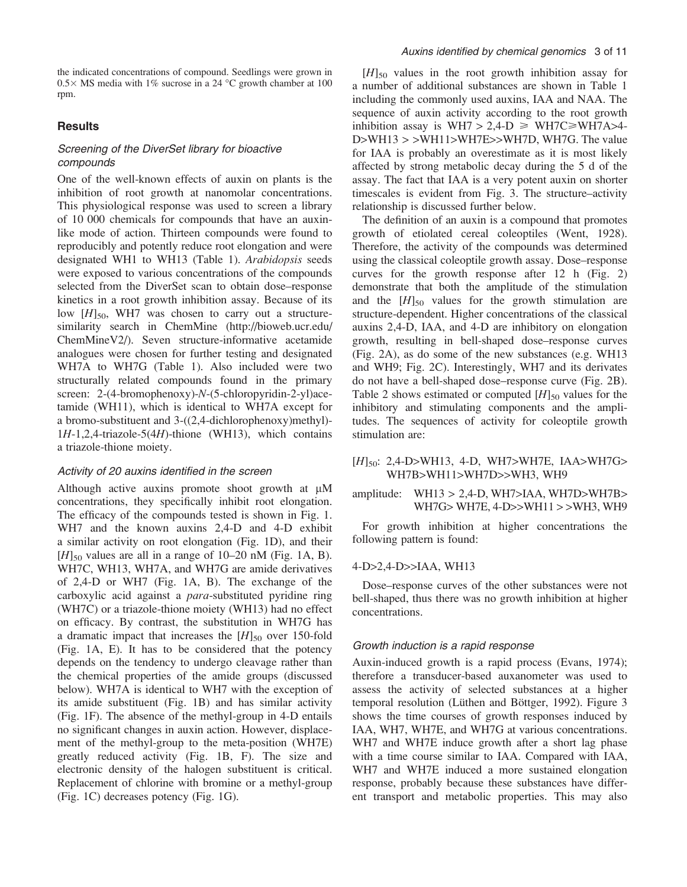the indicated concentrations of compound. Seedlings were grown in  $0.5\times$  MS media with 1% sucrose in a 24 °C growth chamber at 100 rpm.

## **Results**

# Screening of the DiverSet library for bioactive compounds

One of the well-known effects of auxin on plants is the inhibition of root growth at nanomolar concentrations. This physiological response was used to screen a library of 10 000 chemicals for compounds that have an auxinlike mode of action. Thirteen compounds were found to reproducibly and potently reduce root elongation and were designated WH1 to WH13 (Table 1). Arabidopsis seeds were exposed to various concentrations of the compounds selected from the DiverSet scan to obtain dose–response kinetics in a root growth inhibition assay. Because of its low  $[H]_{50}$ , WH7 was chosen to carry out a structuresimilarity search in ChemMine ([http://bioweb.ucr.edu/](http://bioweb.ucr.edu/ChemMineV2/) [ChemMineV2/](http://bioweb.ucr.edu/ChemMineV2/)). Seven structure-informative acetamide analogues were chosen for further testing and designated WH7A to WH7G (Table 1). Also included were two structurally related compounds found in the primary screen: 2-(4-bromophenoxy)-N-(5-chloropyridin-2-yl)acetamide (WH11), which is identical to WH7A except for a bromo-substituent and 3-((2,4-dichlorophenoxy)methyl)- 1H-1,2,4-triazole-5(4H)-thione (WH13), which contains a triazole-thione moiety.

## Activity of 20 auxins identified in the screen

Although active auxins promote shoot growth at  $\mu$ M concentrations, they specifically inhibit root elongation. The efficacy of the compounds tested is shown in Fig. 1. WH7 and the known auxins 2,4-D and 4-D exhibit a similar activity on root elongation (Fig. 1D), and their  $[H]_{50}$  values are all in a range of 10–20 nM (Fig. 1A, B). WH7C, WH13, WH7A, and WH7G are amide derivatives of 2,4-D or WH7 (Fig. 1A, B). The exchange of the carboxylic acid against a *para*-substituted pyridine ring (WH7C) or a triazole-thione moiety (WH13) had no effect on efficacy. By contrast, the substitution in WH7G has a dramatic impact that increases the  $[H]_{50}$  over 150-fold (Fig. 1A, E). It has to be considered that the potency depends on the tendency to undergo cleavage rather than the chemical properties of the amide groups (discussed below). WH7A is identical to WH7 with the exception of its amide substituent (Fig. 1B) and has similar activity (Fig. 1F). The absence of the methyl-group in 4-D entails no significant changes in auxin action. However, displacement of the methyl-group to the meta-position (WH7E) greatly reduced activity (Fig. 1B, F). The size and electronic density of the halogen substituent is critical. Replacement of chlorine with bromine or a methyl-group (Fig. 1C) decreases potency (Fig. 1G).

 $[H]_{50}$  values in the root growth inhibition assay for a number of additional substances are shown in Table 1 including the commonly used auxins, IAA and NAA. The sequence of auxin activity according to the root growth inhibition assay is WH7 > 2,4-D  $\geq$  WH7C $\geq$ WH7A $>$ 4-D>WH13 > >WH11>WH7E>>WH7D, WH7G. The value for IAA is probably an overestimate as it is most likely affected by strong metabolic decay during the 5 d of the assay. The fact that IAA is a very potent auxin on shorter timescales is evident from Fig. 3. The structure–activity relationship is discussed further below.

The definition of an auxin is a compound that promotes growth of etiolated cereal coleoptiles (Went, 1928). Therefore, the activity of the compounds was determined using the classical coleoptile growth assay. Dose–response curves for the growth response after 12 h (Fig. 2) demonstrate that both the amplitude of the stimulation and the  $[H]_{50}$  values for the growth stimulation are structure-dependent. Higher concentrations of the classical auxins 2,4-D, IAA, and 4-D are inhibitory on elongation growth, resulting in bell-shaped dose–response curves (Fig. 2A), as do some of the new substances (e.g. WH13 and WH9; Fig. 2C). Interestingly, WH7 and its derivates do not have a bell-shaped dose–response curve (Fig. 2B). Table 2 shows estimated or computed  $[H]_{50}$  values for the inhibitory and stimulating components and the amplitudes. The sequences of activity for coleoptile growth stimulation are:

# [H]50: 2,4-D>WH13, 4-D, WH7>WH7E, IAA>WH7G> WH7B>WH11>WH7D>>WH3, WH9

# amplitude: WH13 > 2,4-D, WH7>IAA, WH7D>WH7B> WH7G> WH7E, 4-D>>WH11 > >WH3, WH9

For growth inhibition at higher concentrations the following pattern is found:

## 4-D>2,4-D>>IAA, WH13

Dose–response curves of the other substances were not bell-shaped, thus there was no growth inhibition at higher concentrations.

## Growth induction is a rapid response

Auxin-induced growth is a rapid process (Evans, 1974); therefore a transducer-based auxanometer was used to assess the activity of selected substances at a higher temporal resolution (Lüthen and Böttger, 1992). Figure 3 shows the time courses of growth responses induced by IAA, WH7, WH7E, and WH7G at various concentrations. WH7 and WH7E induce growth after a short lag phase with a time course similar to IAA. Compared with IAA, WH7 and WH7E induced a more sustained elongation response, probably because these substances have different transport and metabolic properties. This may also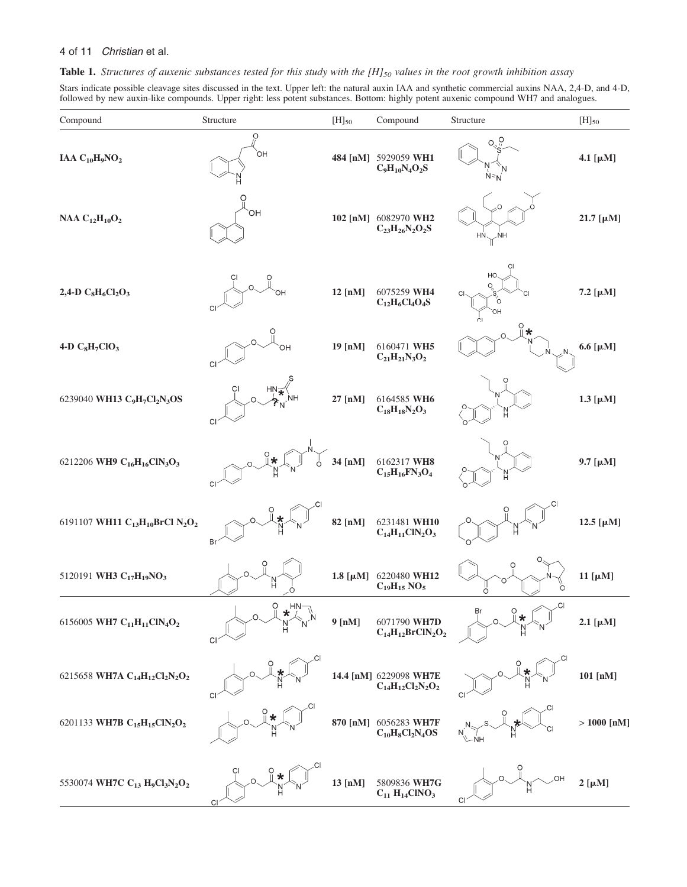Table 1. Structures of auxenic substances tested for this study with the  $[H]_{50}$  values in the root growth inhibition assay

Stars indicate possible cleavage sites discussed in the text. Upper left: the natural auxin IAA and synthetic commercial auxins NAA, 2,4-D, and 4-D, followed by new auxin-like compounds. Upper right: less potent substances. Bottom: highly potent auxenic compound WH7 and analogues.

| Compound                                                                                   | Structure                              | $[H]_{50}$ | Compound                                                | Structure                | $[H]_{50}$       |
|--------------------------------------------------------------------------------------------|----------------------------------------|------------|---------------------------------------------------------|--------------------------|------------------|
| IAA $C_{10}H_9NO_2$                                                                        | O<br>ÒН                                |            | 484 [nM] 5929059 WH1<br>$C_9H_{10}N_4O_2S$              | О.<br>$N = N$            | 4.1 [ $\mu$ M]   |
| NAA $C_{12}H_{10}O_2$                                                                      | ΟH                                     |            | 102 [nM] 6082970 WH2<br>$C_{23}H_{26}N_2O_2S$           | $H N \searrow N H$       | 21.7 [μM]        |
| 2,4-D $C_8H_6Cl_2O_3$                                                                      | OH<br>CI                               | 12 [nM]    | 6075259 WH4<br>$C_{12}H_6Cl_4O_4S$                      | СI<br>HC<br>с<br>OH      | 7.2 [μM]         |
| 4-D C <sub>8</sub> H <sub>7</sub> ClO <sub>3</sub>                                         | ΟН<br>CI                               | 19 [nM]    | 6160471 WH5<br>$C_{21}H_{21}N_{3}O_{2}$                 | $\star$                  | 6.6 [ $\mu$ M]   |
| 6239040 WH13 C <sub>9</sub> H <sub>7</sub> Cl <sub>2</sub> N <sub>3</sub> OS               | $HN \leq$<br>? $N^{\mathrm{NH}}$<br>CI | 27 [nM]    | 6164585 WH6<br>$C_{18}H_{18}N_2O_3$                     | `N                       | $1.3$ [ $\mu$ M] |
| 6212206 WH9 C <sub>16</sub> H <sub>16</sub> ClN <sub>3</sub> O <sub>3</sub>                | *<br>CI                                | 34 [nM]    | 6162317 WH8<br>$C_{15}H_{16}FN_3O_4$                    | 'n                       | $9.7$ [ $\mu$ M] |
| 6191107 WH11 C <sub>13</sub> H <sub>10</sub> BrCl N <sub>2</sub> O <sub>2</sub>            | СI<br>Br                               | 82 [nM]    | 6231481 WH10<br>$C_{14}H_{11}CIN_2O_3$                  | N<br>H                   | 12.5 [μM]        |
| 5120191 WH3 C <sub>17</sub> H <sub>19</sub> NO <sub>3</sub>                                | $\frac{N}{H}$                          |            | 1.8 [µM] 6220480 WH12<br>$C_{19}H_{15}$ NO <sub>5</sub> | O<br>$\overline{O}$<br>O | 11 [ $\mu$ M]    |
| 6156005 WH7 C <sub>11</sub> H <sub>11</sub> ClN <sub>4</sub> O <sub>2</sub>                | $\ddot{O}$<br>$HN_{\neg A}$<br>CI      | 9 [nM]     | 6071790 WH7D<br>$C_{14}H_{12}BrClN_2O_2$                | $\sim$ Cl<br>╱           | $2.1$ [ $\mu$ M] |
| 6215658 WH7A C <sub>14</sub> H <sub>12</sub> Cl <sub>2</sub> N <sub>2</sub> O <sub>2</sub> | CI                                     |            | 14.4 [nM] 6229098 WH7E<br>$C_{14}H_{12}Cl_2N_2O_2$      | CI                       | 101 [nM]         |
| 6201133 WH7B C <sub>15</sub> H <sub>15</sub> ClN <sub>2</sub> O <sub>2</sub>               |                                        | 870 [nM]   | 6056283 WH7F<br>$C_{10}H_8Cl_2N_4OS$                    |                          | $> 1000$ [nM]    |
| 5530074 WH7C C <sub>13</sub> H <sub>9</sub> Cl <sub>3</sub> N <sub>2</sub> O <sub>2</sub>  |                                        | 13 [nM]    | 5809836 WH7G<br>$C_{11} H_{14} CINO_3$                  | C                        | $2~[\mu M]$      |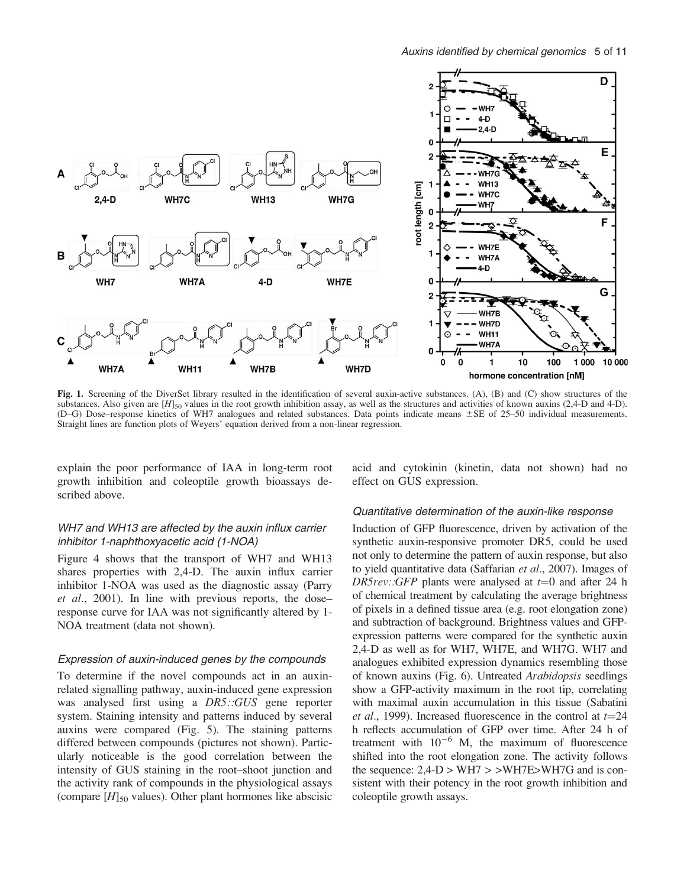

Fig. 1. Screening of the DiverSet library resulted in the identification of several auxin-active substances. (A), (B) and (C) show structures of the substances. Also given are  $[H]_{50}$  values in the root growth inhibition assay, as well as the structures and activities of known auxins (2,4-D and 4-D). (D–G) Dose–response kinetics of WH7 analogues and related substances. Data points indicate means  $\pm$ SE of 25–50 individual measurements. Straight lines are function plots of Weyers' equation derived from a non-linear regression.

explain the poor performance of IAA in long-term root growth inhibition and coleoptile growth bioassays described above.

# WH7 and WH13 are affected by the auxin influx carrier inhibitor 1-naphthoxyacetic acid (1-NOA)

Figure 4 shows that the transport of WH7 and WH13 shares properties with 2,4-D. The auxin influx carrier inhibitor 1-NOA was used as the diagnostic assay (Parry et al., 2001). In line with previous reports, the doseresponse curve for IAA was not significantly altered by 1- NOA treatment (data not shown).

## Expression of auxin-induced genes by the compounds

To determine if the novel compounds act in an auxinrelated signalling pathway, auxin-induced gene expression was analysed first using a DR5::GUS gene reporter system. Staining intensity and patterns induced by several auxins were compared (Fig. 5). The staining patterns differed between compounds (pictures not shown). Particularly noticeable is the good correlation between the intensity of GUS staining in the root–shoot junction and the activity rank of compounds in the physiological assays (compare  $[H]_{50}$  values). Other plant hormones like abscisic

acid and cytokinin (kinetin, data not shown) had no effect on GUS expression.

## Quantitative determination of the auxin-like response

Induction of GFP fluorescence, driven by activation of the synthetic auxin-responsive promoter DR5, could be used not only to determine the pattern of auxin response, but also to yield quantitative data (Saffarian et al., 2007). Images of DR5rev::GFP plants were analysed at  $t=0$  and after 24 h of chemical treatment by calculating the average brightness of pixels in a defined tissue area (e.g. root elongation zone) and subtraction of background. Brightness values and GFPexpression patterns were compared for the synthetic auxin 2,4-D as well as for WH7, WH7E, and WH7G. WH7 and analogues exhibited expression dynamics resembling those of known auxins (Fig. 6). Untreated Arabidopsis seedlings show a GFP-activity maximum in the root tip, correlating with maximal auxin accumulation in this tissue (Sabatini et al., 1999). Increased fluorescence in the control at  $t=24$ h reflects accumulation of GFP over time. After 24 h of treatment with  $10^{-6}$  M, the maximum of fluorescence shifted into the root elongation zone. The activity follows the sequence:  $2,4-D > WH7 > > WH7E > WH7G$  and is consistent with their potency in the root growth inhibition and coleoptile growth assays.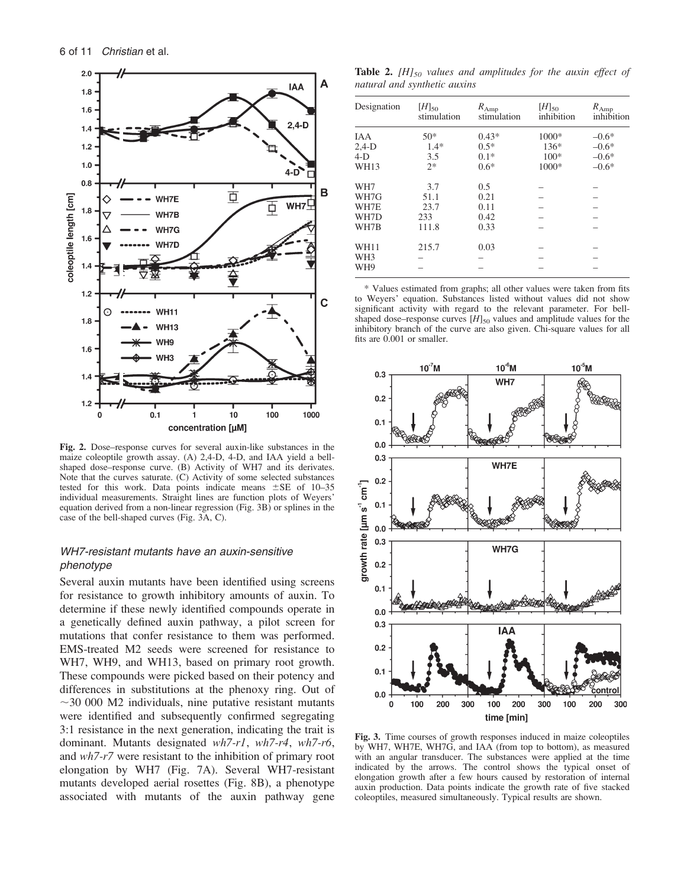

Fig. 2. Dose–response curves for several auxin-like substances in the maize coleoptile growth assay. (A) 2,4-D, 4-D, and IAA yield a bellshaped dose–response curve. (B) Activity of WH7 and its derivates. Note that the curves saturate. (C) Activity of some selected substances tested for this work. Data points indicate means  $\pm$ SE of 10–35 individual measurements. Straight lines are function plots of Weyers' equation derived from a non-linear regression (Fig. 3B) or splines in the case of the bell-shaped curves (Fig. 3A, C).

# WH7-resistant mutants have an auxin-sensitive phenotype

Several auxin mutants have been identified using screens for resistance to growth inhibitory amounts of auxin. To determine if these newly identified compounds operate in a genetically defined auxin pathway, a pilot screen for mutations that confer resistance to them was performed. EMS-treated M2 seeds were screened for resistance to WH7, WH9, and WH13, based on primary root growth. These compounds were picked based on their potency and differences in substitutions at the phenoxy ring. Out of  $\sim$ 30 000 M2 individuals, nine putative resistant mutants were identified and subsequently confirmed segregating 3:1 resistance in the next generation, indicating the trait is dominant. Mutants designated wh7-r1, wh7-r4, wh7-r6, and wh7-r7 were resistant to the inhibition of primary root elongation by WH7 (Fig. 7A). Several WH7-resistant mutants developed aerial rosettes (Fig. 8B), a phenotype associated with mutants of the auxin pathway gene

**Table 2.** [H] $_{50}$  values and amplitudes for the auxin effect of natural and synthetic auxins

| Designation     | $[H]_{50}$<br>stimulation | $R_{Amp}$<br>stimulation | $[H]_{50}$<br>inhibition | $R_{Amp}$<br>inhibition |
|-----------------|---------------------------|--------------------------|--------------------------|-------------------------|
| IAA             | $50*$                     | $0.43*$                  | $1000*$                  | $-0.6*$                 |
| $2,4-D$         | $1.4*$                    | $0.5*$                   | $136*$                   | $-0.6*$                 |
| $4-D$           | 3.5                       | $0.1*$                   | $100*$                   | $-0.6*$                 |
| <b>WH13</b>     | $2*$                      | $0.6*$                   | 1000*                    | $-0.6*$                 |
| WH7             | 3.7                       | 0.5                      |                          |                         |
| WH7G            | 51.1                      | 0.21                     |                          |                         |
| WH7E            | 23.7                      | 0.11                     |                          |                         |
| WH7D            | 233                       | 0.42                     |                          |                         |
| WH7B            | 111.8                     | 0.33                     |                          |                         |
| <b>WH11</b>     | 215.7                     | 0.03                     |                          |                         |
| WH <sub>3</sub> |                           |                          |                          |                         |
| WH9             |                           |                          |                          |                         |

\* Values estimated from graphs; all other values were taken from fits to Weyers' equation. Substances listed without values did not show significant activity with regard to the relevant parameter. For bellshaped dose–response curves  $[H]_{50}$  values and amplitude values for the inhibitory branch of the curve are also given. Chi-square values for all fits are 0.001 or smaller.



Fig. 3. Time courses of growth responses induced in maize coleoptiles by WH7, WH7E, WH7G, and IAA (from top to bottom), as measured with an angular transducer. The substances were applied at the time indicated by the arrows. The control shows the typical onset of elongation growth after a few hours caused by restoration of internal auxin production. Data points indicate the growth rate of five stacked coleoptiles, measured simultaneously. Typical results are shown.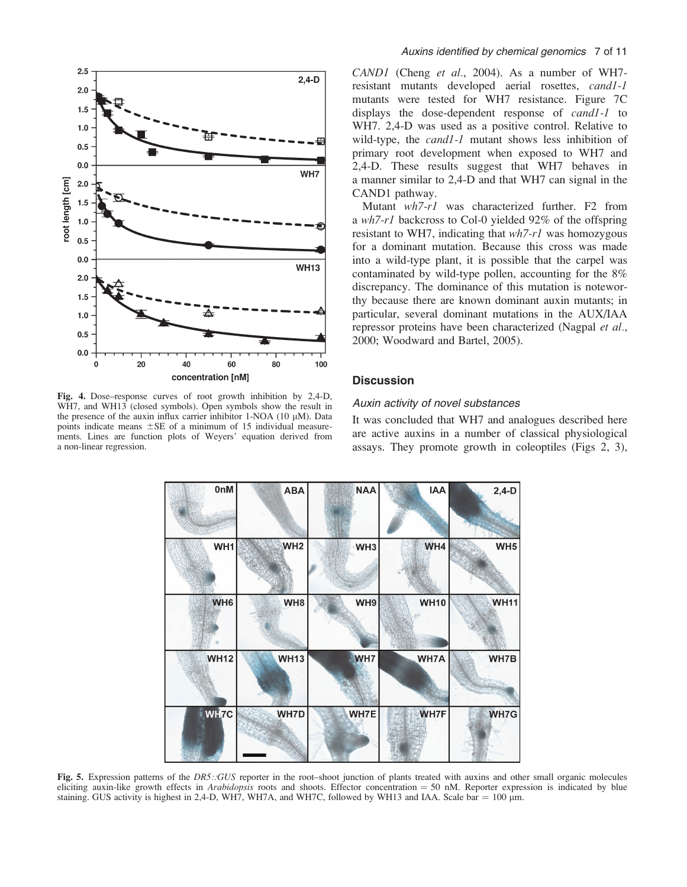

Fig. 4. Dose–response curves of root growth inhibition by 2,4-D, WH7, and WH13 (closed symbols). Open symbols show the result in the presence of the auxin influx carrier inhibitor 1-NOA (10  $\mu$ M). Data points indicate means  $\pm$ SE of a minimum of 15 individual measurements. Lines are function plots of Weyers' equation derived from a non-linear regression.

## Auxins identified by chemical genomics 7 of 11

CAND1 (Cheng et al., 2004). As a number of WH7resistant mutants developed aerial rosettes, cand1-1 mutants were tested for WH7 resistance. Figure 7C displays the dose-dependent response of cand1-1 to WH7. 2,4-D was used as a positive control. Relative to wild-type, the *cand1-1* mutant shows less inhibition of primary root development when exposed to WH7 and 2,4-D. These results suggest that WH7 behaves in a manner similar to 2,4-D and that WH7 can signal in the CAND1 pathway.

Mutant wh7-r1 was characterized further. F2 from a wh7-r1 backcross to Col-0 yielded 92% of the offspring resistant to WH7, indicating that  $wh7-r1$  was homozygous for a dominant mutation. Because this cross was made into a wild-type plant, it is possible that the carpel was contaminated by wild-type pollen, accounting for the 8% discrepancy. The dominance of this mutation is noteworthy because there are known dominant auxin mutants; in particular, several dominant mutations in the AUX/IAA repressor proteins have been characterized (Nagpal et al., 2000; Woodward and Bartel, 2005).

## **Discussion**

## Auxin activity of novel substances

It was concluded that WH7 and analogues described here are active auxins in a number of classical physiological assays. They promote growth in coleoptiles (Figs 2, 3),



Fig. 5. Expression patterns of the DR5::GUS reporter in the root–shoot junction of plants treated with auxins and other small organic molecules eliciting auxin-like growth effects in Arabidopsis roots and shoots. Effector concentration = 50 nM. Reporter expression is indicated by blue staining. GUS activity is highest in 2,4-D, WH7, WH7A, and WH7C, followed by WH13 and IAA. Scale bar  $= 100 \mu m$ .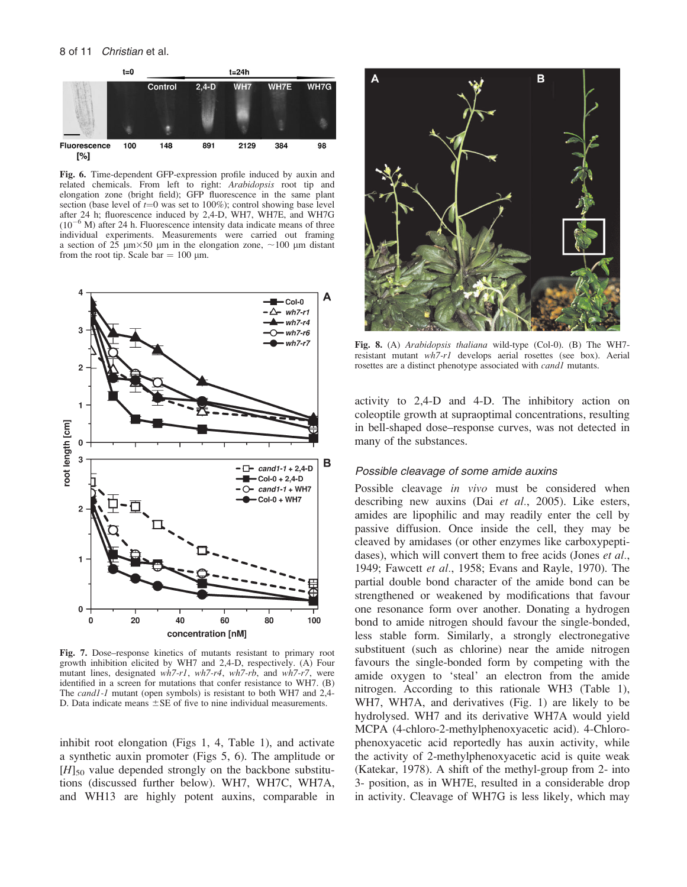

Fig. 6. Time-dependent GFP-expression profile induced by auxin and related chemicals. From left to right: Arabidopsis root tip and elongation zone (bright field); GFP fluorescence in the same plant section (base level of  $t=0$  was set to 100%); control showing base level after 24 h; fluorescence induced by 2,4-D, WH7, WH7E, and WH7G  $(10^{-6}$  M) after 24 h. Fluorescence intensity data indicate means of three individual experiments. Measurements were carried out framing a section of  $25 \mu m \times 50 \mu m$  in the elongation zone,  $\sim 100 \mu m$  distant from the root tip. Scale bar =  $100 \mu m$ .



Fig. 7. Dose–response kinetics of mutants resistant to primary root growth inhibition elicited by WH7 and 2,4-D, respectively. (A) Four mutant lines, designated wh7-r1, wh7-r4, wh7-rb, and wh7-r7, were identified in a screen for mutations that confer resistance to WH7. (B) The *cand1-1* mutant (open symbols) is resistant to both WH7 and 2,4-D. Data indicate means  $\pm$  SE of five to nine individual measurements.

inhibit root elongation (Figs 1, 4, Table 1), and activate a synthetic auxin promoter (Figs 5, 6). The amplitude or  $[H]_{50}$  value depended strongly on the backbone substitutions (discussed further below). WH7, WH7C, WH7A, and WH13 are highly potent auxins, comparable in



Fig. 8. (A) Arabidopsis thaliana wild-type (Col-0). (B) The WH7 resistant mutant wh7-r1 develops aerial rosettes (see box). Aerial rosettes are a distinct phenotype associated with *cand1* mutants.

activity to 2,4-D and 4-D. The inhibitory action on coleoptile growth at supraoptimal concentrations, resulting in bell-shaped dose–response curves, was not detected in many of the substances.

# Possible cleavage of some amide auxins

Possible cleavage in vivo must be considered when describing new auxins (Dai et al., 2005). Like esters, amides are lipophilic and may readily enter the cell by passive diffusion. Once inside the cell, they may be cleaved by amidases (or other enzymes like carboxypeptidases), which will convert them to free acids (Jones et al., 1949; Fawcett et al., 1958; Evans and Rayle, 1970). The partial double bond character of the amide bond can be strengthened or weakened by modifications that favour one resonance form over another. Donating a hydrogen bond to amide nitrogen should favour the single-bonded, less stable form. Similarly, a strongly electronegative substituent (such as chlorine) near the amide nitrogen favours the single-bonded form by competing with the amide oxygen to 'steal' an electron from the amide nitrogen. According to this rationale WH3 (Table 1), WH7, WH7A, and derivatives (Fig. 1) are likely to be hydrolysed. WH7 and its derivative WH7A would yield MCPA (4-chloro-2-methylphenoxyacetic acid). 4-Chlorophenoxyacetic acid reportedly has auxin activity, while the activity of 2-methylphenoxyacetic acid is quite weak (Katekar, 1978). A shift of the methyl-group from 2- into 3- position, as in WH7E, resulted in a considerable drop in activity. Cleavage of WH7G is less likely, which may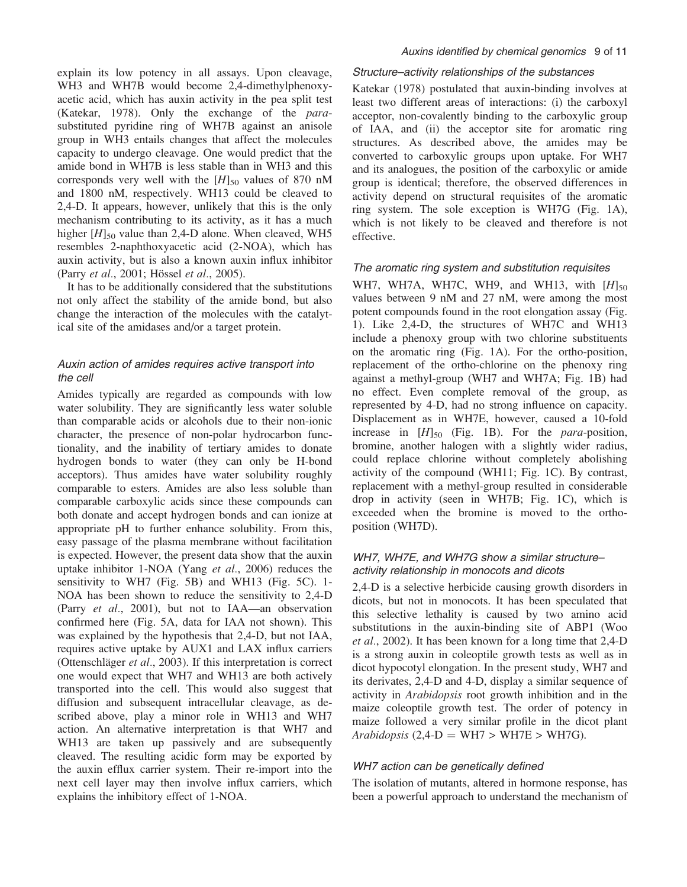explain its low potency in all assays. Upon cleavage, WH3 and WH7B would become 2,4-dimethylphenoxyacetic acid, which has auxin activity in the pea split test (Katekar, 1978). Only the exchange of the parasubstituted pyridine ring of WH7B against an anisole group in WH3 entails changes that affect the molecules capacity to undergo cleavage. One would predict that the amide bond in WH7B is less stable than in WH3 and this corresponds very well with the  $[H]_{50}$  values of 870 nM and 1800 nM, respectively. WH13 could be cleaved to 2,4-D. It appears, however, unlikely that this is the only mechanism contributing to its activity, as it has a much higher  $[H]_{50}$  value than 2,4-D alone. When cleaved, WH5 resembles 2-naphthoxyacetic acid (2-NOA), which has auxin activity, but is also a known auxin influx inhibitor (Parry et al., 2001; Hössel et al., 2005).

It has to be additionally considered that the substitutions not only affect the stability of the amide bond, but also change the interaction of the molecules with the catalytical site of the amidases and/or a target protein.

# Auxin action of amides requires active transport into the cell

Amides typically are regarded as compounds with low water solubility. They are significantly less water soluble than comparable acids or alcohols due to their non-ionic character, the presence of non-polar hydrocarbon functionality, and the inability of tertiary amides to donate hydrogen bonds to water (they can only be H-bond acceptors). Thus amides have water solubility roughly comparable to esters. Amides are also less soluble than comparable carboxylic acids since these compounds can both donate and accept hydrogen bonds and can ionize at appropriate pH to further enhance solubility. From this, easy passage of the plasma membrane without facilitation is expected. However, the present data show that the auxin uptake inhibitor 1-NOA (Yang et al., 2006) reduces the sensitivity to WH7 (Fig. 5B) and WH13 (Fig. 5C). 1- NOA has been shown to reduce the sensitivity to 2,4-D (Parry et al., 2001), but not to IAA—an observation confirmed here (Fig. 5A, data for IAA not shown). This was explained by the hypothesis that 2,4-D, but not IAA, requires active uptake by AUX1 and LAX influx carriers (Ottenschläger  $et$   $al$ , 2003). If this interpretation is correct one would expect that WH7 and WH13 are both actively transported into the cell. This would also suggest that diffusion and subsequent intracellular cleavage, as described above, play a minor role in WH13 and WH7 action. An alternative interpretation is that WH7 and WH13 are taken up passively and are subsequently cleaved. The resulting acidic form may be exported by the auxin efflux carrier system. Their re-import into the next cell layer may then involve influx carriers, which explains the inhibitory effect of 1-NOA.

## Structure–activity relationships of the substances

Katekar (1978) postulated that auxin-binding involves at least two different areas of interactions: (i) the carboxyl acceptor, non-covalently binding to the carboxylic group of IAA, and (ii) the acceptor site for aromatic ring structures. As described above, the amides may be converted to carboxylic groups upon uptake. For WH7 and its analogues, the position of the carboxylic or amide group is identical; therefore, the observed differences in activity depend on structural requisites of the aromatic ring system. The sole exception is WH7G (Fig. 1A), which is not likely to be cleaved and therefore is not effective.

## The aromatic ring system and substitution requisites

WH7, WH7A, WH7C, WH9, and WH13, with  $[H]_{50}$ values between 9 nM and 27 nM, were among the most potent compounds found in the root elongation assay (Fig. 1). Like 2,4-D, the structures of WH7C and WH13 include a phenoxy group with two chlorine substituents on the aromatic ring (Fig. 1A). For the ortho-position, replacement of the ortho-chlorine on the phenoxy ring against a methyl-group (WH7 and WH7A; Fig. 1B) had no effect. Even complete removal of the group, as represented by 4-D, had no strong influence on capacity. Displacement as in WH7E, however, caused a 10-fold increase in  $[H]_{50}$  (Fig. 1B). For the *para*-position, bromine, another halogen with a slightly wider radius, could replace chlorine without completely abolishing activity of the compound (WH11; Fig. 1C). By contrast, replacement with a methyl-group resulted in considerable drop in activity (seen in WH7B; Fig. 1C), which is exceeded when the bromine is moved to the orthoposition (WH7D).

# WH7, WH7E, and WH7G show a similar structure– activity relationship in monocots and dicots

2,4-D is a selective herbicide causing growth disorders in dicots, but not in monocots. It has been speculated that this selective lethality is caused by two amino acid substitutions in the auxin-binding site of ABP1 (Woo et al., 2002). It has been known for a long time that 2,4-D is a strong auxin in coleoptile growth tests as well as in dicot hypocotyl elongation. In the present study, WH7 and its derivates, 2,4-D and 4-D, display a similar sequence of activity in Arabidopsis root growth inhibition and in the maize coleoptile growth test. The order of potency in maize followed a very similar profile in the dicot plant Arabidopsis  $(2,4-D = WH7 > WH7E > WH7G)$ .

# WH7 action can be genetically defined

The isolation of mutants, altered in hormone response, has been a powerful approach to understand the mechanism of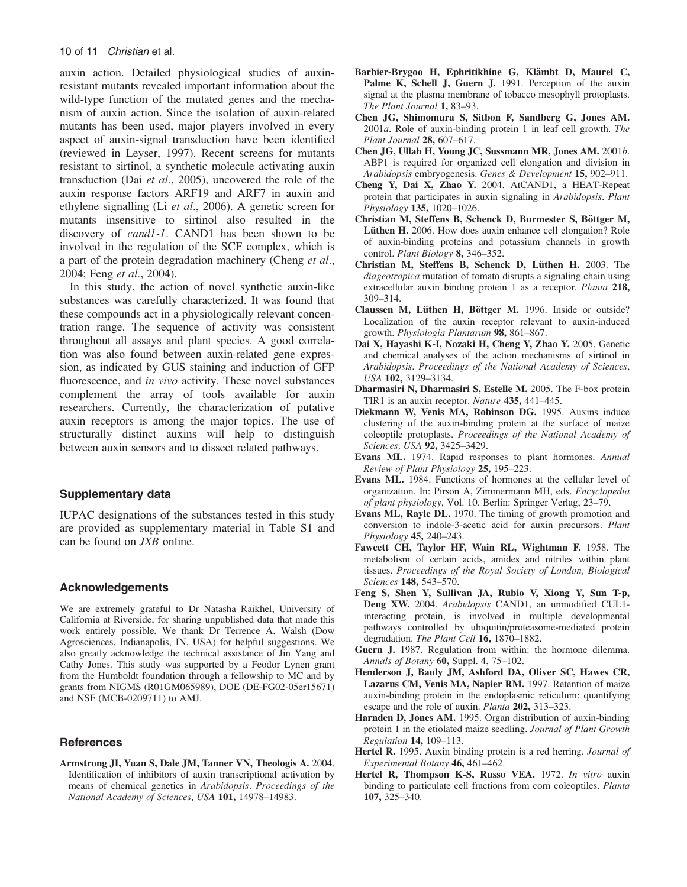auxin action. Detailed physiological studies of auxinresistant mutants revealed important information about the wild-type function of the mutated genes and the mechanism of auxin action. Since the isolation of auxin-related mutants has been used, major players involved in every aspect of auxin-signal transduction have been identified (reviewed in Leyser, 1997). Recent screens for mutants resistant to sirtinol, a synthetic molecule activating auxin transduction (Dai et al., 2005), uncovered the role of the auxin response factors ARF19 and ARF7 in auxin and ethylene signalling (Li et al., 2006). A genetic screen for mutants insensitive to sirtinol also resulted in the discovery of cand1-1. CAND1 has been shown to be involved in the regulation of the SCF complex, which is a part of the protein degradation machinery (Cheng et al., 2004; Feng et al., 2004).

In this study, the action of novel synthetic auxin-like substances was carefully characterized. It was found that these compounds act in a physiologically relevant concentration range. The sequence of activity was consistent throughout all assays and plant species. A good correlation was also found between auxin-related gene expression, as indicated by GUS staining and induction of GFP fluorescence, and *in vivo* activity. These novel substances complement the array of tools available for auxin researchers. Currently, the characterization of putative auxin receptors is among the major topics. The use of structurally distinct auxins will help to distinguish between auxin sensors and to dissect related pathways.

# Supplementary data

IUPAC designations of the substances tested in this study are provided as supplementary material in Table S1 and can be found on JXB online.

## Acknowledgements

We are extremely grateful to Dr Natasha Raikhel, University of California at Riverside, for sharing unpublished data that made this work entirely possible. We thank Dr Terrence A. Walsh (Dow Agrosciences, Indianapolis, IN, USA) for helpful suggestions. We also greatly acknowledge the technical assistance of Jin Yang and Cathy Jones. This study was supported by a Feodor Lynen grant from the Humboldt foundation through a fellowship to MC and by grants from NIGMS (R01GM065989), DOE (DE-FG02-05er15671) and NSF (MCB-0209711) to AMJ.

## **References**

Armstrong JI, Yuan S, Dale JM, Tanner VN, Theologis A. 2004. Identification of inhibitors of auxin transcriptional activation by means of chemical genetics in Arabidopsis. Proceedings of the National Academy of Sciences, USA 101, 14978–14983.

- Barbier-Brygoo H, Ephritikhine G, Klämbt D, Maurel C, Palme K, Schell J, Guern J. 1991. Perception of the auxin signal at the plasma membrane of tobacco mesophyll protoplasts. The Plant Journal 1, 83-93.
- Chen JG, Shimomura S, Sitbon F, Sandberg G, Jones AM. 2001a. Role of auxin-binding protein 1 in leaf cell growth. The Plant Journal 28, 607–617.
- Chen JG, Ullah H, Young JC, Sussmann MR, Jones AM. 2001b. ABP1 is required for organized cell elongation and division in Arabidopsis embryogenesis. Genes & Development 15, 902-911.
- Cheng Y, Dai X, Zhao Y. 2004. AtCAND1, a HEAT-Repeat protein that participates in auxin signaling in Arabidopsis. Plant Physiology 135, 1020–1026.
- Christian M, Steffens B, Schenck D, Burmester S, Böttger M, Lüthen H. 2006. How does auxin enhance cell elongation? Role of auxin-binding proteins and potassium channels in growth control. Plant Biology 8, 346–352.
- Christian M, Steffens B, Schenck D, Lüthen H. 2003. The diageotropica mutation of tomato disrupts a signaling chain using extracellular auxin binding protein 1 as a receptor. Planta 218, 309–314.
- Claussen M, Lüthen H, Böttger M. 1996. Inside or outside? Localization of the auxin receptor relevant to auxin-induced growth. Physiologia Plantarum 98, 861–867.
- Dai X, Hayashi K-I, Nozaki H, Cheng Y, Zhao Y. 2005. Genetic and chemical analyses of the action mechanisms of sirtinol in Arabidopsis. Proceedings of the National Academy of Sciences, USA 102, 3129–3134.
- Dharmasiri N, Dharmasiri S, Estelle M. 2005. The F-box protein TIR1 is an auxin receptor. Nature 435, 441–445.
- Diekmann W, Venis MA, Robinson DG. 1995. Auxins induce clustering of the auxin-binding protein at the surface of maize coleoptile protoplasts. Proceedings of the National Academy of Sciences, USA 92, 3425-3429.
- Evans ML. 1974. Rapid responses to plant hormones. Annual Review of Plant Physiology 25, 195–223.
- Evans ML. 1984. Functions of hormones at the cellular level of organization. In: Pirson A, Zimmermann MH, eds. Encyclopedia of plant physiology, Vol. 10. Berlin: Springer Verlag, 23–79.
- Evans ML, Rayle DL. 1970. The timing of growth promotion and conversion to indole-3-acetic acid for auxin precursors. Plant Physiology 45, 240–243.
- Fawcett CH, Taylor HF, Wain RL, Wightman F. 1958. The metabolism of certain acids, amides and nitriles within plant tissues. Proceedings of the Royal Society of London, Biological Sciences 148, 543–570.
- Feng S, Shen Y, Sullivan JA, Rubio V, Xiong Y, Sun T-p, Deng XW. 2004. Arabidopsis CAND1, an unmodified CUL1interacting protein, is involved in multiple developmental pathways controlled by ubiquitin/proteasome-mediated protein degradation. The Plant Cell 16, 1870–1882.
- Guern J. 1987. Regulation from within: the hormone dilemma. Annals of Botany 60, Suppl. 4, 75-102.
- Henderson J, Bauly JM, Ashford DA, Oliver SC, Hawes CR, Lazarus CM, Venis MA, Napier RM. 1997. Retention of maize auxin-binding protein in the endoplasmic reticulum: quantifying escape and the role of auxin. *Planta* 202, 313–323.
- Harnden D, Jones AM. 1995. Organ distribution of auxin-binding protein 1 in the etiolated maize seedling. Journal of Plant Growth Regulation 14, 109–113.
- Hertel R. 1995. Auxin binding protein is a red herring. Journal of Experimental Botany 46, 461–462.
- Hertel R, Thompson K-S, Russo VEA. 1972. In vitro auxin binding to particulate cell fractions from corn coleoptiles. Planta 107, 325–340.